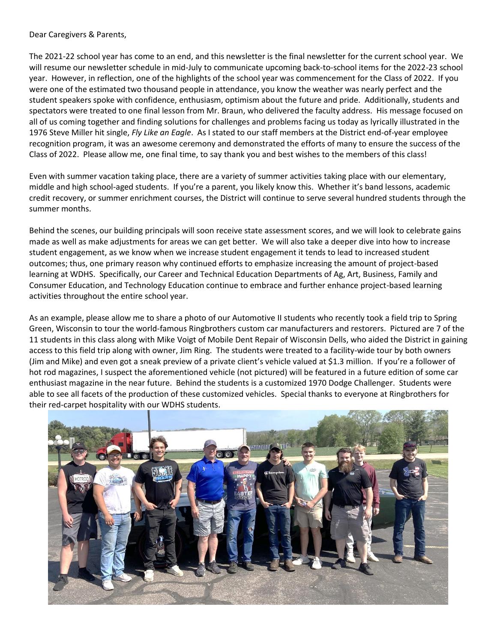Dear Caregivers & Parents,

The 2021-22 school year has come to an end, and this newsletter is the final newsletter for the current school year. We will resume our newsletter schedule in mid-July to communicate upcoming back-to-school items for the 2022-23 school year. However, in reflection, one of the highlights of the school year was commencement for the Class of 2022. If you were one of the estimated two thousand people in attendance, you know the weather was nearly perfect and the student speakers spoke with confidence, enthusiasm, optimism about the future and pride. Additionally, students and spectators were treated to one final lesson from Mr. Braun, who delivered the faculty address. His message focused on all of us coming together and finding solutions for challenges and problems facing us today as lyrically illustrated in the 1976 Steve Miller hit single, *Fly Like an Eagle*. As I stated to our staff members at the District end-of-year employee recognition program, it was an awesome ceremony and demonstrated the efforts of many to ensure the success of the Class of 2022. Please allow me, one final time, to say thank you and best wishes to the members of this class!

Even with summer vacation taking place, there are a variety of summer activities taking place with our elementary, middle and high school-aged students. If you're a parent, you likely know this. Whether it's band lessons, academic credit recovery, or summer enrichment courses, the District will continue to serve several hundred students through the summer months.

Behind the scenes, our building principals will soon receive state assessment scores, and we will look to celebrate gains made as well as make adjustments for areas we can get better. We will also take a deeper dive into how to increase student engagement, as we know when we increase student engagement it tends to lead to increased student outcomes; thus, one primary reason why continued efforts to emphasize increasing the amount of project-based learning at WDHS. Specifically, our Career and Technical Education Departments of Ag, Art, Business, Family and Consumer Education, and Technology Education continue to embrace and further enhance project-based learning activities throughout the entire school year.

As an example, please allow me to share a photo of our Automotive II students who recently took a field trip to Spring Green, Wisconsin to tour the world-famous Ringbrothers custom car manufacturers and restorers. Pictured are 7 of the 11 students in this class along with Mike Voigt of Mobile Dent Repair of Wisconsin Dells, who aided the District in gaining access to this field trip along with owner, Jim Ring. The students were treated to a facility-wide tour by both owners (Jim and Mike) and even got a sneak preview of a private client's vehicle valued at \$1.3 million. If you're a follower of hot rod magazines, I suspect the aforementioned vehicle (not pictured) will be featured in a future edition of some car enthusiast magazine in the near future. Behind the students is a customized 1970 Dodge Challenger. Students were able to see all facets of the production of these customized vehicles. Special thanks to everyone at Ringbrothers for their red-carpet hospitality with our WDHS students.